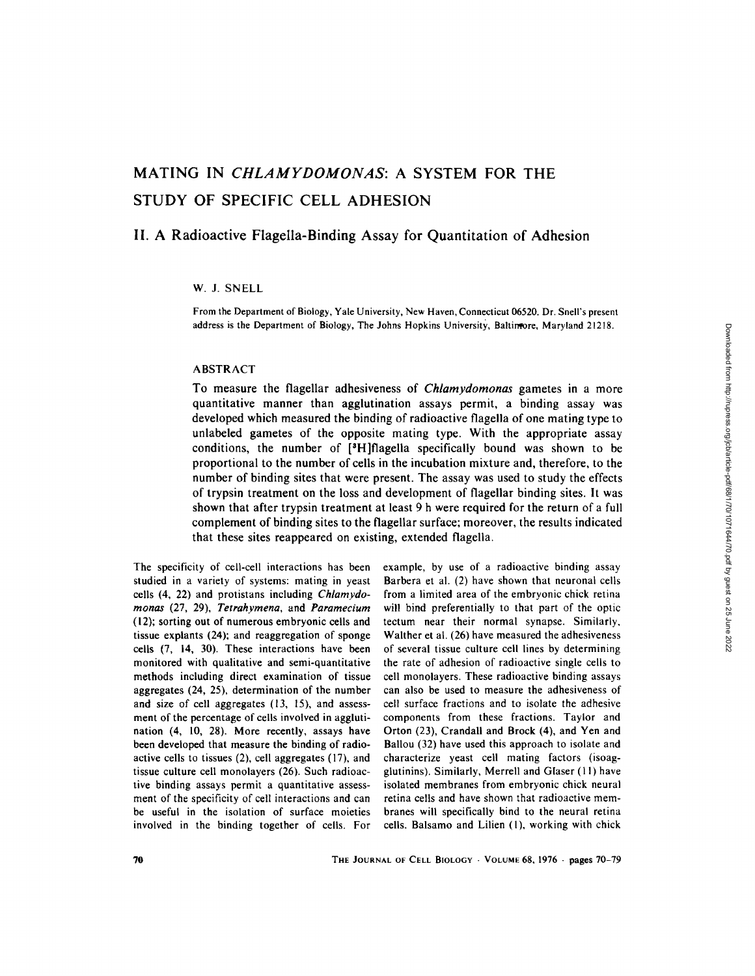# **MATING IN** *CHLAMYDOMONAS:* **A SYSTEM FOR THE STUDY OF SPECIFIC CELL ADHESION**

## **II. A Radioactive Flagella-Binding Assay for Quantitation of Adhesion**

## W. J. SNELL

From the Department of Biology, Yale University, New Haven, Connecticut 06520. Dr. Snell's present address is the Department of Biology, The Johns Hopkins University, Baltimore, Maryland 21218.

#### ABSTRACT

To measure the flagellar adhesiveness of *Chlamydomonas* gametes in a more quantitative manner than agglutination assays permit, a binding assay was developed which measured the binding of radioactive flagella of one mating type to unlabeled gametes of the opposite mating type. With the appropriate assay conditions, the number of  $[{}^{3}H]$ flagella specifically bound was shown to be proportional to the number of cells in the incubation mixture and, therefore, to the number of binding sites that were present. The assay was used to study the effects of trypsin treatment on the loss and development of flagellar binding sites. It was shown that after trypsin treatment at least 9 h were required for the return of a full complement of binding sites to the flagellar surface; moreover, the results indicated that these sites reappeared on existing, extended flagella.

The specificity of cell-cell interactions has been studied in a variety of systems: mating in yeast cells (4, 22) and protistans including *Chlamydomonas* (27, 29), *Tetrahymena,* and *Paramecium*  (12); sorting out of numerous embryonic cells and tissue explants (24); and reaggregation of sponge cells (7, 14, 30). These interactions have been monitored with qualitative and semi-quantitative methods including direct examination of tissue aggregates (24, 25), determination of the number and size of cell aggregates (13, 15), and assessment of the percentage of cells involved in agglutination (4, 10, 28). More recently, assays have been developed that measure the binding of radioactive cells to tissues (2), cell aggregates (17), and tissue culture cell monolayers (26). Such radioactive binding assays permit a quantitative assessment of the specificity of cell interactions and can be useful in the isolation of surface moieties involved in the binding together of cells. For

example, by use of a radioactive binding assay Barbera et al. (2) have shown that neuronal cells from a limited area of the embryonic chick retina will bind preferentially to that part of the optic tectum near their normal synapse. Similarly, Walther et al. (26) have measured the adhesiveness of several tissue culture cell lines by determining the rate of adhesion of radioactive single cells to cell monolayers. These radioactive binding assays can also be used to measure the adhesiveness of cell surface fractions and to isolate the adhesive components from these fractions. Taylor and Orton (23), Crandall and Brock (4), and Yen and Ballou (32) have used this approach to isolate and characterize yeast cell mating factors (isoagglutinins). Similarly, Merrell and Glaser (1 I) have isolated membranes from embryonic chick neural retina cells and have shown that radioactive membranes will specifically bind to the neural retina cells. Balsamo and Lilien (1), working with chick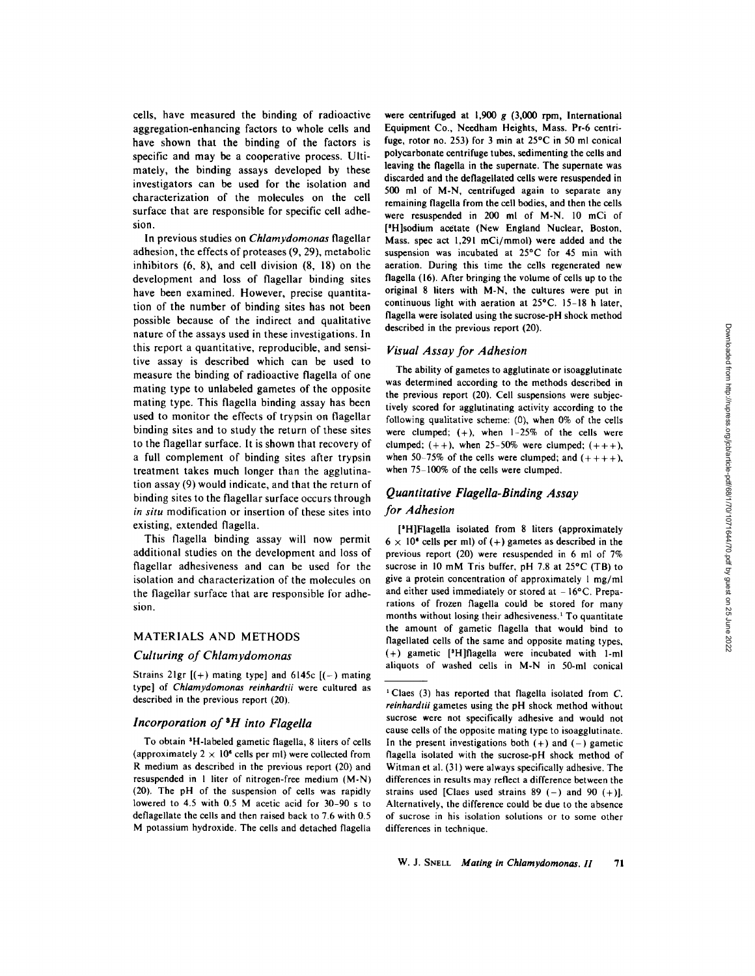cells, have measured the binding of radioactive aggregation-enhancing factors to whole cells and have shown that the binding of the factors is specific and may be a cooperative process. Ultimately, the binding assays developed by these investigators can be used for the isolation and characterization of the molecules on the cell surface that are responsible for specific cell adhesion.

In previous studies on *Chlamydomonas* flagellar adhesion, the effects of proteases (9, 29), metabolic inhibitors (6, 8), and cell division (8, 18) on the development and loss of flagellar binding sites have been examined. However, precise quantitation of the number of binding sites has not been possible because of the indirect and qualitative nature of the assays used in these investigations. In this report a quantitative, reproducible, and sensitive assay is described which can be used to measure the binding of radioactive flagella of one mating type to unlabeled gametes of the opposite mating type. This flagella binding assay has been used to monitor the effects of trypsin on flagellar binding sites and to study the return of these sites to the flagellar surface. It is shown that recovery of a full complement of binding sites after trypsin treatment takes much longer than the agglutination assay (9) would indicate, and that the return of binding sites to the flagellar surface occurs through *in situ* modification or insertion of these sites into existing, extended flagella.

This flagella binding assay will now permit additional studies on the development and loss of flagellar adhesiveness and can be used for the isolation and characterization of the molecules on the flagellar surface that are responsible for adhesion.

#### MATERIALS AND METHODS

## *Culturing of Chlamydomonas*

Strains 21gr  $[(+)$  mating type] and 6145c  $[(-)$  mating type] of *Chlamydomonas reinhardtii* were cultured as described in the previous report (20).

#### *Incorporation of SH into Flagella*

To obtain <sup>3</sup>H-labeled gametic flagella, 8 liters of cells (approximately  $2 \times 10^6$  cells per ml) were collected from R medium as described in the previous report (20) and resuspended in I liter of nitrogen-free medium (M-N) (20). The pH of the suspension of cells was rapidly lowered to 4.5 with 0.5 M acetic acid for 30-90 s to deflagellate the cells and then raised back to 7.6 with 0.5 M potassium hydroxide. The cells and detached flagella

**were** centrifuged at i,900 g (3,000 rpm, International Equipment Co., Needham Heights, Mass. Pr-6 centrifuge, rotor no. 253) for 3 min at  $25^{\circ}$ C in 50 ml conical polycarbonate centrifuge tubes, sedimenting the cells and leaving the flagella in the supernate. The supernate was discarded and the deflagellated cells were resuspended in 500 ml of M-N, centrifuged again to separate any remaining flagella from the cell bodies, and then the cells were resuspended in 200 ml of M-N. 10 mCi of <sup>[3</sup>H]sodium acetate (New England Nuclear, Boston, Mass. spec act 1,291 mCi/mmol) were added and the suspension was incubated at 25°C for 45 min with aeration. During this time the cells regenerated new flagella (16). After bringing the volume of cells up to the original 8 liters with M-N, the cultures were put in continuous light with aeration at 25"C. 15-18 h later, flagella were isolated using the sucrose-pH shock method described in the previous report (20).

#### *Visual Assay for Adhesion*

The ability of gametes to agglutinate or isoagglutinate was determined according to the methods described in the previous report (20). Cell suspensions were subjectively scored for agglutinating activity according to the following qualitative scheme: (0), when 0% of the cells were clumped;  $(+)$ , when  $1-25\%$  of the cells were clumped;  $(++)$ , when 25-50% were clumped;  $(+++)$ , when 50-75% of the cells were clumped; and  $(+++)$ , when  $75-100\%$  of the cells were clumped.

## *Quantitative Flagella-Binding Assay for Adhesion*

[<sup>3</sup>H]Flagella isolated from 8 liters (approximately  $6 \times 10^6$  cells per ml) of (+) gametes as described in the previous report (20) were resuspended in 6 ml of 7% sucrose in 10 mM Tris buffer, pH 7.8 at  $25^{\circ}$ C (TB) to give a protein concentration of approximately 1 mg/ml and either used immediately or stored at  $-16^{\circ}$ C. Preparations of frozen flagella could be stored for many months without losing their adhesiveness.<sup>1</sup> To quantitate the amount of gametic flagella that would bind to flagellated cells of the same and opposite mating types,  $(+)$  gametic [<sup>3</sup>H]flagella were incubated with 1-ml aliquots of washed cells in M-N in 50-ml conical

<sup>&</sup>lt;sup>1</sup> Claes (3) has reported that flagella isolated from  $C$ . *reinhardtii* gametes using the pH shock method without sucrose were not specifically adhesive and would not cause cells of the opposite mating type to isoagglutinate. In the present investigations both  $(+)$  and  $(-)$  gametic flagella isolated with the sucrose-pH shock method of Witman et al. (31) were always specifically adhesive. The differences in results may reflect a difference between the strains used [Claes used strains 89 (-) and 90 (+)]. Alternatively, the difference could be due to the absence of sucrose in his isolation solutions or to some other differences in technique.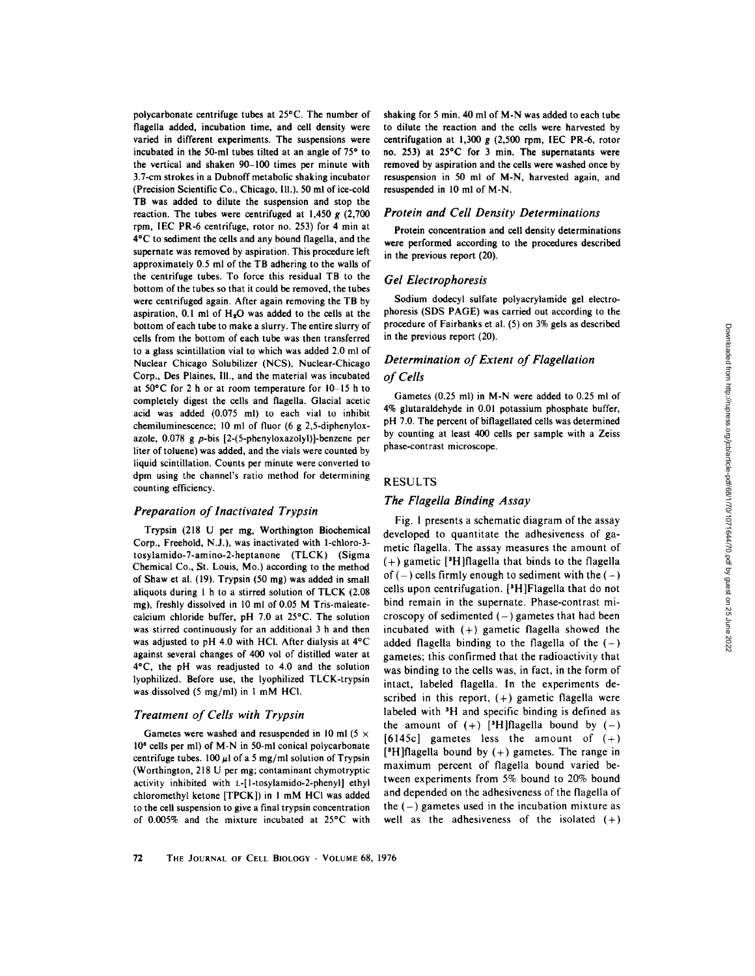polycarbonate centrifuge tubes at 25"C. The number of flagella added, incubation time, and cell density were varied in different experiments. The suspensions were incubated in the 50-ml tubes tilted at an angle of  $75°$  to the vertical and shaken 90-100 times per minute with 3.7-cm strokes in a Dubnoff metabolic shaking incubator (Precision Scientific Co., Chicago, III.). 50 ml of ice-cold TB was added to dilute the suspension and stop the reaction. The tubes were centrifuged at 1,450  $g$  (2,700) rpm, IEC PR-6 centrifuge, rotor no. 253) for 4 min at 4"C to sediment the cells and any bound flagella, and the supernate was removed by aspiration. This procedure left approximately 0.5 ml of the TB adhering to the walls of the centrifuge tubes. To force this residual TB to the bottom of the tubes so that it could be removed, the tubes were centrifuged again. After again removing the TB by aspiration, 0.1 ml of  $H_2O$  was added to the cells at the bottom of each tube to make a slurry. The entire slurry of cells from the bottom of each tube was then transferred to a glass scintillation vial to which was added 2.0 ml of Nuclear Chicago Solubilizer (NCS), Nuclear-Chicago Corp., Des Plaines, 111., and the material was incubated at 50"C for 2 h or at room temperature for 10-15 h to completely digest the cells and flagella. Glacial acetic acid was added (0.075 ml) to each vial to inhibit chemiluminescence; 10 ml of fluor (6 g 2,5-diphenyloxazole, 0.078 g p-bis [2-(5-phenyloxazolyl)]-benzene per liter of toluene) was added, and the vials were counted by liquid scintillation. Counts per minute were converted to dpm using the channel's ratio method for determining counting efficiency.

#### *Preparation of Inactivated Trypsin*

Trypsin (218 U per mg, Worthington Biochemical Corp., Freehold, N.J.), was inactivated with I-chloro-3 tosylamido-7-amino-2-heptanone (TLCK) (Sigma Chemical Co., St. Louis, Mo.) according to the method of Shaw et al. (19). Trypsin (50 mg) was added in small aliquots during 1 h to a stirred solution of TLCK (2.08 mg), freshly dissolved in 10 ml of 0.05 M Tris-maleatecalcium chloride buffer, pH 7.0 at 25°C. The solution was stirred continuously for an additional 3 h and then was adjusted to pH 4.0 with HCI. After dialysis at 4°C against several changes of 400 vol of distilled water at 4"C, the pH was readjusted to 4.0 and the solution lyophilized. Before use, the lyophilized TLCK-trypsin was dissolved (5 mg/ml) in 1 mM HCI.

#### *Treatment of Cells with Trypsin*

Gametes were washed and resuspended in 10 ml (5  $\times$ 106 cells per ml) of M-N in 50-ml conical polycarbonate centrifuge tubes. 100  $\mu$ l of a 5 mg/ml solution of Trypsin (Worthington, 218 U per mg; contaminant chymotryptic activity inhibited with L-[l-tosylamido-2-phenyl] ethyl chloromethyl ketone [TPCK]) in 1 mM HCI was added to the cell suspension to give a final trypsin concentration of  $0.005\%$  and the mixture incubated at  $25^{\circ}$ C with shaking for 5 min. 40 ml of M-N was added to each tube to dilute the reaction and the cells were harvested by centrifugation at  $1,300 g$  (2,500 rpm, IEC PR-6, rotor no. 253) at 25"C for 3 min. The supernatants were removed by aspiration and the cells were washed once by resuspension in 50 ml of M-N, harvested again, and resuspended in 10 ml of M-N.

## *Protein and Cell Density Determinations*

Protein concentration and cell density determinations were performed according to the procedures described in the previous report (20).

#### *Gel Electrophoresis*

Sodium dodecyl sulfate polyacrylamide gel electrophoresis (SDS PAGE) was carried out according to the procedure of Fairbanks et al. (5) on 3% gels as described in the previous report (20).

## *Determination of Extent of Flagellation of Cells*

Gametes (0.25 ml) in M-N were added to 0.25 ml of 4% glutaraldehyde in 0.01 potassium phosphate buffer, pH 7.0. The percent of biflagellated cells was determined by counting at least 400 cells per sample with a Zeiss phase-contrast microscope.

#### RESULTS

#### *The Flagella Binding Assay*

Fig. 1 presents a schematic diagram of the assay developed to quantitate the adhesiveness of gametic flagella. The assay measures the amount of  $(+)$  gametic [<sup>3</sup>H]flagella that binds to the flagella of  $(-)$  cells firmly enough to sediment with the  $(-)$ cells upon centrifugation. [3H]Flagella that do not bind remain in the supernate. Phase-contrast microscopy of sedimented  $(-)$  gametes that had been incubated with  $(+)$  gametic flagella showed the added flagella binding to the flagella of the  $(-)$ gametes; this confirmed that the radioactivity that was binding to the cells was, in fact, in the form of intact, labeled flagella. In the experiments described in this report,  $(+)$  gametic flagella were labeled with 3H and specific binding is defined as the amount of  $(+)$  [<sup>3</sup>H]flagella bound by  $(-)$ [6145c] gametes less the amount of  $(+)$ [<sup>3</sup>H]flagella bound by  $(+)$  gametes. The range in maximum percent of flagella bound varied between experiments from 5% bound to 20% bound and depended on the adhesiveness of the flagella of the  $(-)$  gametes used in the incubation mixture as well as the adhesiveness of the isolated  $(+)$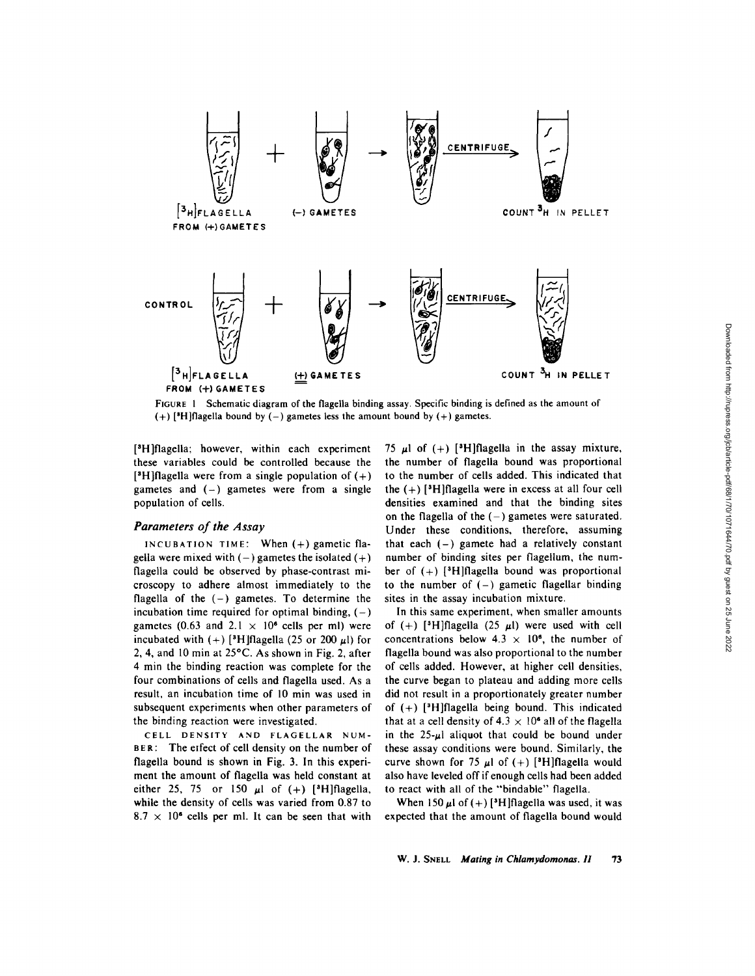

FIGURE 1 Schematic diagram of the flagella binding assay. Specific binding is defined as the amount of  $(+)$  [<sup>3</sup>H]flagella bound by  $(-)$  gametes less the amount bound by  $(+)$  gametes.

[<sup>3</sup>H]flagella; however, within each experiment these variables could be controlled because the [<sup>3</sup>H]flagella were from a single population of  $(+)$ gametes and  $(-)$  gametes were from a single population of cells.

## *Parameters of the Assay*

INCUBATION TIME: When  $(+)$  gametic flagella were mixed with  $(-)$  gametes the isolated  $(+)$ flagella could be observed by phase-contrast microscopy to adhere almost immediately to the flagella of the  $(-)$  gametes. To determine the incubation time required for optimal binding,  $(-)$ gametes (0.63 and 2.1  $\times$  10<sup>6</sup> cells per ml) were incubated with  $(+)$  [<sup>3</sup>H]flagella (25 or 200  $\mu$ l) for 2, 4, and 10 min at  $25^{\circ}$ C. As shown in Fig. 2, after 4 min the binding reaction was complete for the four combinations of cells and flagella used. As a result, an incubation time of 10 min was used in subsequent experiments when other parameters of the binding reaction were investigated.

CELL DENSITY AND FLAGELLAR NUM-BER: The effect of cell density on the number of flagella bound is shown in Fig. 3. In this experiment the amount of flagella was held constant at either 25, 75 or 150  $\mu$ 1 of (+) [<sup>3</sup>H]flagella, while the density of cells was varied from 0.87 to  $8.7 \times 10^6$  cells per ml. It can be seen that with

75  $\mu$ l of (+) [<sup>3</sup>H]flagella in the assay mixture, the number of flagella bound was proportional to the number of cells added. This indicated that the  $(+)$  [<sup>3</sup>H]flagella were in excess at all four cell densities examined and that the binding sites on the flagella of the  $(-)$  gametes were saturated. Under these conditions, therefore, assuming that each  $(-)$  gamete had a relatively constant number of binding sites per flagellum, the number of  $(+)$  [<sup>3</sup>H]flagella bound was proportional to the number of  $(-)$  gametic flagellar binding sites in the assay incubation mixture.

In this same experiment, when smaller amounts of (+) [<sup>3</sup>H]flagella (25  $\mu$ l) were used with cell concentrations below  $4.3 \times 10^6$ , the number of flagella bound was also proportional to the number of cells added. However, at higher cell densities, the curve began to plateau and adding more cells did not result in a proportionately greater number of  $(+)$  [<sup>3</sup>H]flagella being bound. This indicated that at a cell density of  $4.3 \times 10^6$  all of the flagella in the  $25-\mu$  aliquot that could be bound under these assay conditions were bound. Similarly, the curve shown for 75  $\mu$ l of (+) [<sup>3</sup>H]flagella would also have leveled off if enough cells had been added to react with all of the "bindable" flagella.

When 150  $\mu$ l of (+) [<sup>3</sup>H]flagella was used, it was expected that the amount of flagella bound would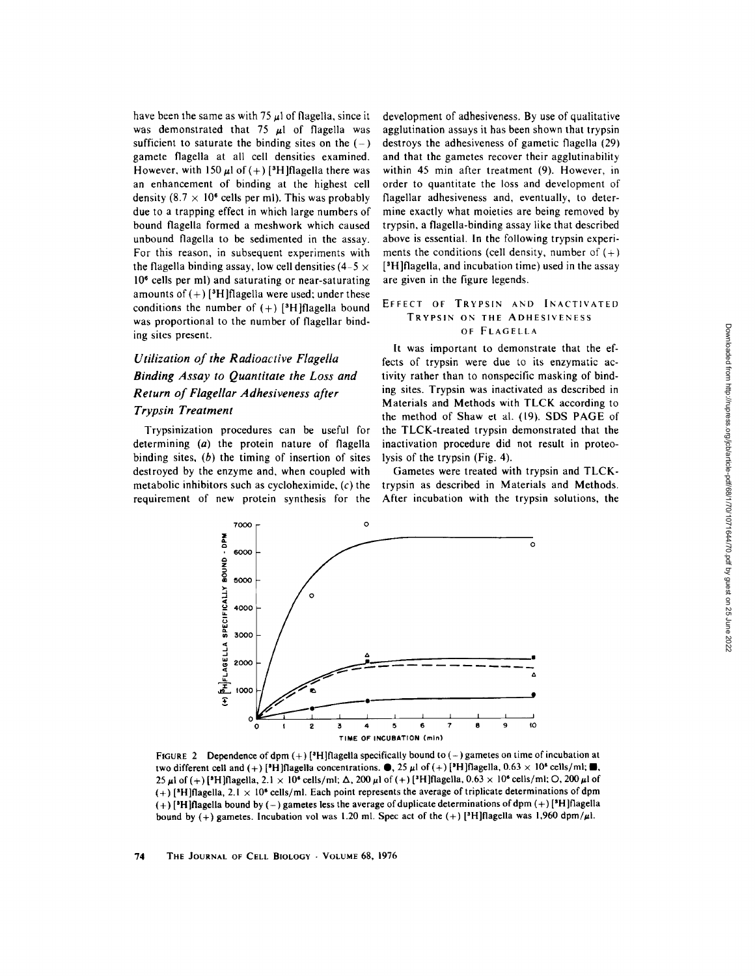have been the same as with 75  $\mu$ 1 of flagella, since it was demonstrated that 75  $\mu$ 1 of flagella was sufficient to saturate the binding sites on the  $(-)$ gamete flagella at all cell densities examined. However, with 150  $\mu$ l of (+) [<sup>3</sup>H]flagella there was an enhancement of binding at the highest cell density (8.7  $\times$  10<sup>6</sup> cells per ml). This was probably due to a trapping effect in which large numbers of bound flagella formed a meshwork which caused unbound flagella to be sedimented in the assay. For this reason, in subsequent experiments with the flagella binding assay, low cell densities  $(4-5 \times$ 10" cells per ml) and saturating or near-saturating amounts of  $(+)$  [<sup>3</sup>H]flagella were used; under these conditions the number of  $(+)$  [<sup>3</sup>H]flagella bound was proportional to the number of flagellar binding sites present.

## *Utilization of the Radioactive Flagella Binding Assay to Quantitate the Loss and Return of Flagellar Adhesiveness after Trypsin Treatment*

Trypsinization procedures can be useful for determining (a) the protein nature of flagella binding sites,  $(b)$  the timing of insertion of sites destroyed by the enzyme and, when coupled with metabolic inhibitors such as cycloheximide,  $(c)$  the requirement of new protein synthesis for the

development of adhesiveness. By use of qualitative agglutination assays it has been shown that trypsin destroys the adhesiveness of gametic flagella (29) and that the gametes recover their agglutinability within 45 min after treatment (9). However, in order to quantitate the loss and development of flagellar adhesiveness and, eventually, to determine exactly what moieties are being removed by trypsin, a flagella-binding assay like that described above is essential. In the following trypsin experiments the conditions (cell density, number of  $(+)$ [<sup>3</sup>H]flagella, and incubation time) used in the assay are given in the figure legends.

#### EFFECT OF TRYPSIN AND INACTIVATED TRYPSIN ON THE ADHESIVENESS OF FLAGELLA

It was important to demonstrate that the effects of trypsin were due to its enzymatic activity rather than to nonspecific masking of binding sites. Trypsin was inactivated as described in Materials and Methods with *TLCK* according to the method of Shaw et al. (19). SDS PAGE of the TLCK-treated trypsin demonstrated that the inactivation procedure did not result in proteolysis of the trypsin (Fig. 4).

Gametes were treated with trypsin and TLCKtrypsin as described in Materials and Methods. After incubation with the trypsin solutions, the



FIGURE 2 Dependence of dpm  $(+)$  [<sup>3</sup>H][flagella specifically bound to  $(-)$  gametes on time of incubation at **two different cell and (+) [<sup>9</sup>H]flagella concentrations.**  $\bullet$ , 25  $\mu$ l of (+) [<sup>9</sup>H]flagella, 0.63  $\times$  10<sup>6</sup> cells/ml;  $\bullet$ , 25  $\mu$ l of (+) [<sup>3</sup>H]flagella, 2.1 × 10<sup>6</sup> cells/ml;  $\Delta$ , 200  $\mu$ l of (+) [<sup>3</sup>H]flagella, 0.63 × 10<sup>6</sup> cells/ml; O, 200  $\mu$ l of (+) **[all]flagella, 2.1 • 106 cells/ml. Each point represents the average of triplicate determinations of dpm**  (+) **[SH]flageUa bound by (-) gametes less the average of duplicate determinations ofdpm (+) [SH]flagella**  bound by  $(+)$  gametes. Incubation vol was 1.20 ml. Spec act of the  $(+)$  [<sup>3</sup>H]flagella was 1,960 dpm/ $\mu$ l.

74 THE JOURNAL OF CELL BIOLOGY . VOLUME 68, 1976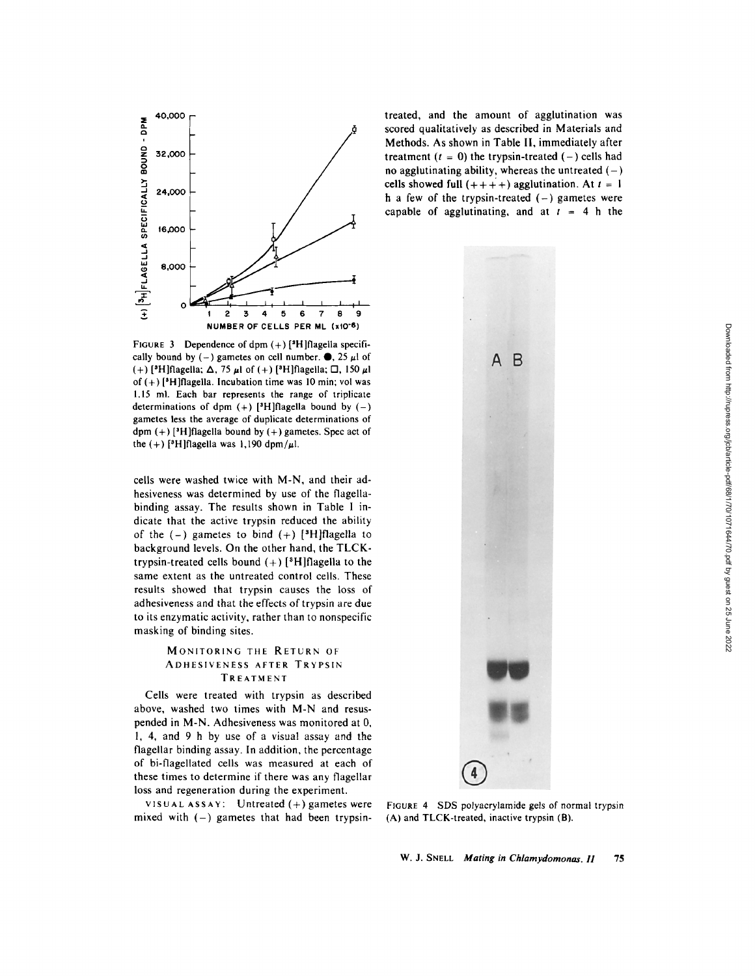

FIGURE 3 Dependence of dpm  $(+)$  [<sup>3</sup>H] flagella specifically bound by (-) gametes on cell number.  $\bullet$ , 25  $\mu$ l of (+) [<sup>3</sup>H]flagella;  $\Delta$ , 75  $\mu$ I of (+) [<sup>3</sup>H]flagella;  $\Box$ , 150  $\mu$ I of  $(+)$  [<sup>3</sup>H]flagella. Incubation time was 10 min; vol was 1.15 ml. Each bar represents the range of triplicate determinations of dpm  $(+)$  [<sup>3</sup>H]flagella bound by  $(-)$ gametes less the average of duplicate determinations of dpm  $(+)$  [<sup>3</sup>H]flagella bound by  $(+)$  gametes. Spec act of the  $(+)$  [<sup>3</sup>H]flagella was 1,190 dpm/ $\mu$ l.

cells were washed twice with M-N, and their adhesiveness was determined by use of the flagellabinding assay. The results shown in Table I indicate that the active trypsin reduced the ability of the  $(-)$  gametes to bind  $(+)$  [<sup>3</sup>H]flagella to background levels. On the other hand, the *TLCK*trypsin-treated cells bound  $(+)$  [<sup>3</sup>H]flagella to the same extent as the untreated control cells. These results showed that trypsin causes the loss of adhesiveness and that the effects of trypsin are due to its enzymatic activity, rather than to nonspecific masking of binding sites.

### MONITORING THE RETURN OF ADHESIVENESS AFTER TRYPSIN TREATMENT

Cells were treated with trypsin as described above, washed two times with M-N and resuspended in M-N. Adhesiveness was monitored at 0, 1, 4, and 9 h by use of a visual assay and the flagellar binding assay. In addition, the percentage of bi-flagellated cells was measured at each of these times to determine if there was any flagellar loss and regeneration during the experiment.

VISUAL ASSAY: Untreated  $(+)$  gametes were mixed with  $(-)$  gametes that had been trypsintreated, and the amount of agglutination was scored qualitatively as described in Materials and Methods. As shown in Table II, immediately after treatment  $(t = 0)$  the trypsin-treated  $(-)$  cells had no agglutinating ability, whereas the untreated  $(-)$ cells showed full  $(+++)$  agglutination. At  $t = 1$ h a few of the trypsin-treated  $(-)$  gametes were capable of agglutinating, and at  $t = 4$  h the



FIGURE 4 SDS polyacrylamide gels of normal trypsin (A) and *TLCK-treated,* inactive trypsin (B).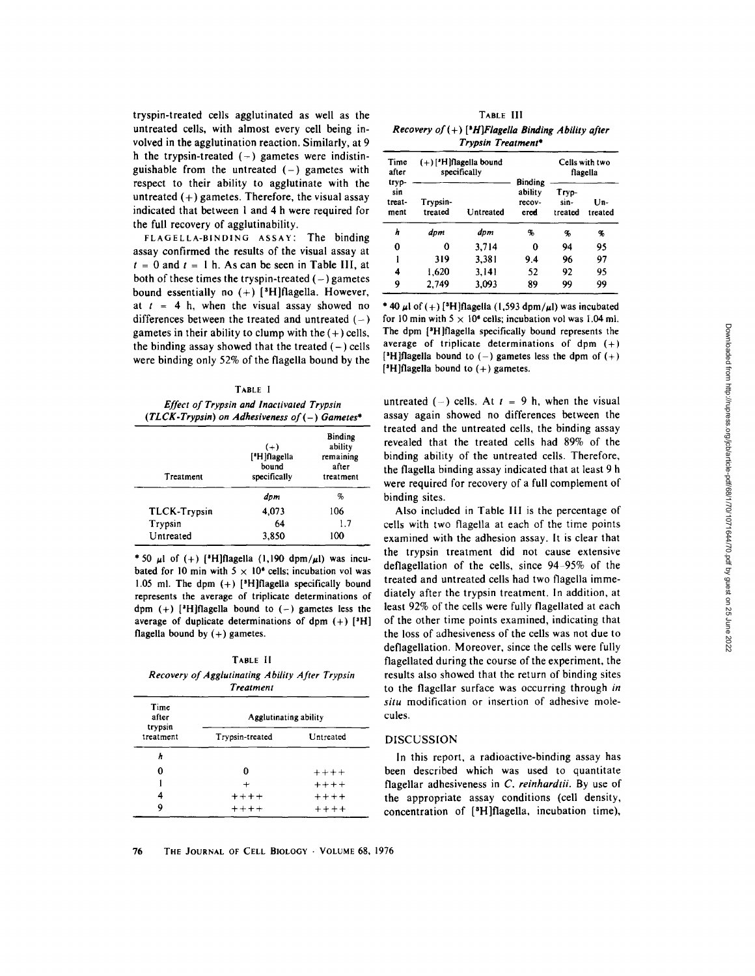tryspin-treated cells agglutinated as well as the untreated cells, with almost every cell being involved in the agglutination reaction. Similarly, at 9 h the trypsin-treated  $(-)$  gametes were indistinguishable from the untreated  $(-)$  gametes with respect to their ability to agglutinate with the untreated  $(+)$  gametes. Therefore, the visual assay indicated that between 1 and 4 h were required for the full recovery of agglutinability.

FLAGELLA-BINDING ASSAY: The binding assay confirmed the results of the visual assay at  $t = 0$  and  $t = 1$  h. As can be seen in Table III, at both of these times the tryspin-treated  $(-)$  gametes bound essentially no  $(+)$  [<sup>3</sup>H]flagella. However, at  $t = 4$  h, when the visual assay showed no differences between the treated and untreated  $(-)$ gametes in their ability to clump with the  $(+)$  cells, the binding assay showed that the treated  $(-)$  cells were binding only 52% of the flagella bound by the

#### TABLE I

*Effect of Trypsin and Inactivated Trypsin (TL CK- Trypsin) on Adhesiveness of (-) Gametes\** 

| Treatment    | $(+)$<br>[ <sup>*</sup> H]flagella<br>bound<br>specifically | <b>Binding</b><br>ability<br>remaining<br>after |  |
|--------------|-------------------------------------------------------------|-------------------------------------------------|--|
|              |                                                             | treatment                                       |  |
|              | dpm                                                         | %                                               |  |
| TLCK-Trypsin | 4.073                                                       | 106                                             |  |
| Trypsin      | 64                                                          | 1.7                                             |  |
| Untreated    | 3.850                                                       | 100                                             |  |

\* 50  $\mu$ l of (+) [<sup>3</sup>H]flagella (1,190 dpm/ $\mu$ l) was incubated for 10 min with  $5 \times 10^6$  cells; incubation vol was 1.05 ml. The dpm  $(+)$  [<sup>3</sup>H]flagella specifically bound represents the average of triplicate determinations of dpm  $(+)$  [<sup>3</sup>H]flagella bound to  $(-)$  gametes less the average of duplicate determinations of dpm  $(+)$  [<sup>3</sup>H] flagella bound by  $(+)$  gametes.

TABLE II *Recovery of Agglutinating Ability After Trypsin Treatment* 

| Time<br>after<br>trypsin<br>treatment | Agglutinating ability |           |  |
|---------------------------------------|-----------------------|-----------|--|
|                                       | Trypsin-treated       | Untreated |  |
| h                                     |                       |           |  |
| 0                                     | n                     | $+++++$   |  |
|                                       | $\ddot{}$             | $+++++$   |  |
| 4                                     | $+ + + +$             | $+++++$   |  |
| 9                                     | $***$                 | $***+$    |  |

TABLE III *Recovery of (+)* [<sup>8</sup>*H*]*Flagella Binding Ability after Trypsin Treatment\** 

| Time<br>after<br>tryp-<br>sin<br>treat-<br>ment | $(+)$ ['H]flagella bound<br>specifically |           | <b>Binding</b>            | Cells with two<br>flagella |                |
|-------------------------------------------------|------------------------------------------|-----------|---------------------------|----------------------------|----------------|
|                                                 | Trypsin-<br>treated                      | Untreated | ability<br>recov-<br>cred | Tryp-<br>sin-<br>treated   | Un-<br>treated |
| h                                               | dpm                                      | dpm       | %                         | %                          | %              |
| 0                                               | 0                                        | 3,714     | 0                         | 94                         | 95             |
| ı                                               | 319                                      | 3,381     | 9.4                       | 96                         | 97             |
| 4                                               | 1.620                                    | 3,141     | 52                        | 92                         | 95             |
| 9                                               | 2,749                                    | 3.093     | 89                        | 99                         | 99             |

\* 40  $\mu$ l of (+) [<sup>3</sup>H]flagella (1,593 dpm/ $\mu$ l) was incubated for 10 min with  $5 \times 10^6$  cells; incubation vol was 1.04 ml. The dpm  $[$ <sup>3</sup>H]flagella specifically bound represents the average of triplicate determinations of dpm (+) [<sup>3</sup>H]flagella bound to  $(-)$  gametes less the dpm of  $(+)$  $[$ <sup>3</sup>H]flagella bound to  $(+)$  gametes.

untreated  $(-)$  cells. At  $t = 9$  h, when the visual assay again showed no differences between the treated and the untreated cells, the binding assay revealed that the treated cells had 89% of the binding ability of the untreated cells. Therefore, the flagella binding assay indicated that at least 9 h were required for recovery of a full complement of binding sites.

Also included in Table III is the percentage of cells with two flagella at each of the time points examined with the adhesion assay. It is clear that the trypsin treatment did not cause extensive deflagellation of the cells, since 94-95% of the treated and untreated cells had two flagella immediately after the trypsin treatment. In addition, at least 92% of the cells were fully flagellated at each of the other time points examined, indicating that the loss of adhesiveness of the cells was not due to deflagellation. Moreover, since the cells were fully flagellated during the course of the experiment, the results also showed that the return of binding sites to the flagellar surface was occurring through *in situ* modification or insertion of adhesive molecules.

#### DISCUSSION

In this report, a radioactive-binding assay has been described which was used to quantitate flagellar adhesiveness in *C. reinhardtii.* By use of the appropriate assay conditions (cell density, concentration of  $[$ <sup>3</sup>H $]$ flagella, incubation time),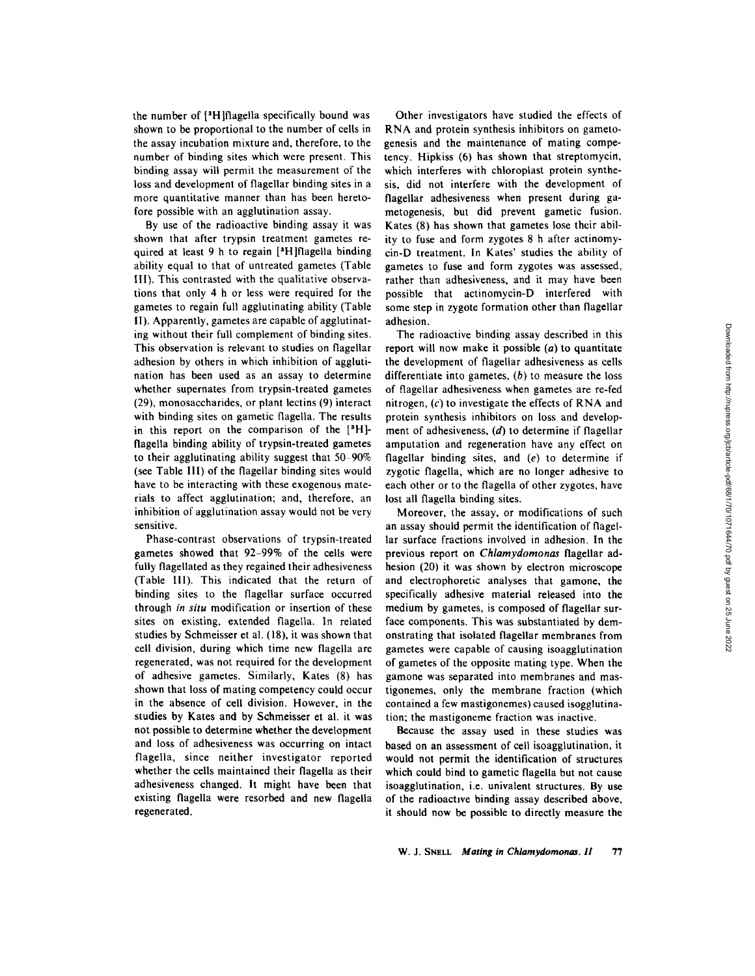the number of [<sup>3</sup>H]flagella specifically bound was shown to be proportional to the number of cells in the assay incubation mixture and, therefore, to the number of binding sites which were present. This binding assay will permit the measurement of the loss and development of flagellar binding sites in a more quantitative manner than has been heretofore possible with an agglutination assay.

By use of the radioactive binding assay it was shown that after trypsin treatment gametes required at least 9 h to regain [<sup>3</sup>H]flagella binding ability equal to that of untreated gametes (Table III). This contrasted with the qualitative observations that only 4 h or less were required for the gametes to regain full agglutinating ability (Table 1I). Apparently, gametes are capable of agglutinating without their full complement of binding sites. This observation is relevant to studies on flagellar adhesion by others in which inhibition of agglutination has been used as an assay to determine whether supernates from trypsin-treated gametes (29), monosaccharides, or plant lectins (9) interact with binding sites on gametic flagella. The results in this report on the comparison of the  $[<sup>3</sup>H]$ flagella binding ability of trypsin-treated gametes to their agglutinating ability suggest that  $50-90\%$ (see Table 11I) of the flagellar binding sites would have to be interacting with these exogenous materials to affect agglutination; and, therefore, an inhibition of agglutination assay would not be very sensitive.

Phase-contrast observations of trypsin-treated gametes showed that 92-99% of the cells were fully flagellated as they regained their adhesiveness (Table II1). This indicated that the return of binding sites to the flagellar surface occurred through *in situ* modification or insertion of these sites on existing, extended flagella. In related studies by Schmeisser et al. (18), it was shown that cell division, during which time new flagella are regenerated, was not required for the development of adhesive gametes. Similarly, Kates (8) has shown that loss of mating competency could occur in the absence of cell division. However, in the studies by Kates and by Schmeisser et al. it was not possible to determine whether the development and loss of adhesiveness was occurring on intact flagella, since neither investigator reported whether the cells maintained their flagella as their adhesiveness changed, it might have been that existing flagella were resorbed and new flagella regenerated.

Other investigators have studied the effects of RNA and protein synthesis inhibitors on gametogenesis and the maintenance of mating competency. Hipkiss (6) has shown that streptomycin, which interferes with chloroplast protein synthesis, did not interfere with the development of flagellar adhesiveness when present during gametogenesis, but did prevent gametic fusion. Kates (8) has shown that gametes lose their ability to fuse and form zygotes 8 h after actinomycin-D treatment, in Kates' studies the ability of gametes to fuse and form zygotes was assessed, rather than adhesiveness, and it may have been possible that actinomycin-D interfered with some step in zygote formation other than flagellar adhesion.

The radioactive binding assay described in this report will now make it possible  $(a)$  to quantitate the development of flagellar adhesiveness as cells differentiate into gametes,  $(b)$  to measure the loss of flagellar adhesiveness when gametes are re-fed nitrogen,  $(c)$  to investigate the effects of RNA and protein synthesis inhibitors on loss and development of adhesiveness, (d) to determine if flagellar amputation and regeneration have any effect on flagellar binding sites, and (e) to determine if zygotic flagella, which are no longer adhesive to each other or to the flagella of other zygotes, have lost all flagella binding sites.

Moreover, the assay, or modifications of such an assay should permit the identification of flagellar surface fractions involved in adhesion. In the previous report on *Chlamydomonas* flagellar adhesion (20) it was shown by electron microscope and electrophoretic analyses that gamone, the specifically adhesive material released into the medium by gametes, is composed of flagellar surface components. This was substantiated by demonstrating that isolated flagellar membranes from gametes were capable of causing isoagglutination of gametes of the opposite mating type. When the gamone was separated into membranes and mastigonemes, only the membrane fraction (which contained a few mastigonemes) caused isogglutination; the mastigoneme fraction was inactive.

Because the assay used in these studies was based on an assessment of cell isoagglutination, it would not permit the identification of structures which could bind to gametic flagella but not cause isoagglutination, i.e. univalent structures. By use of the radioactwe binding assay described above, it should now be possible to directly measure the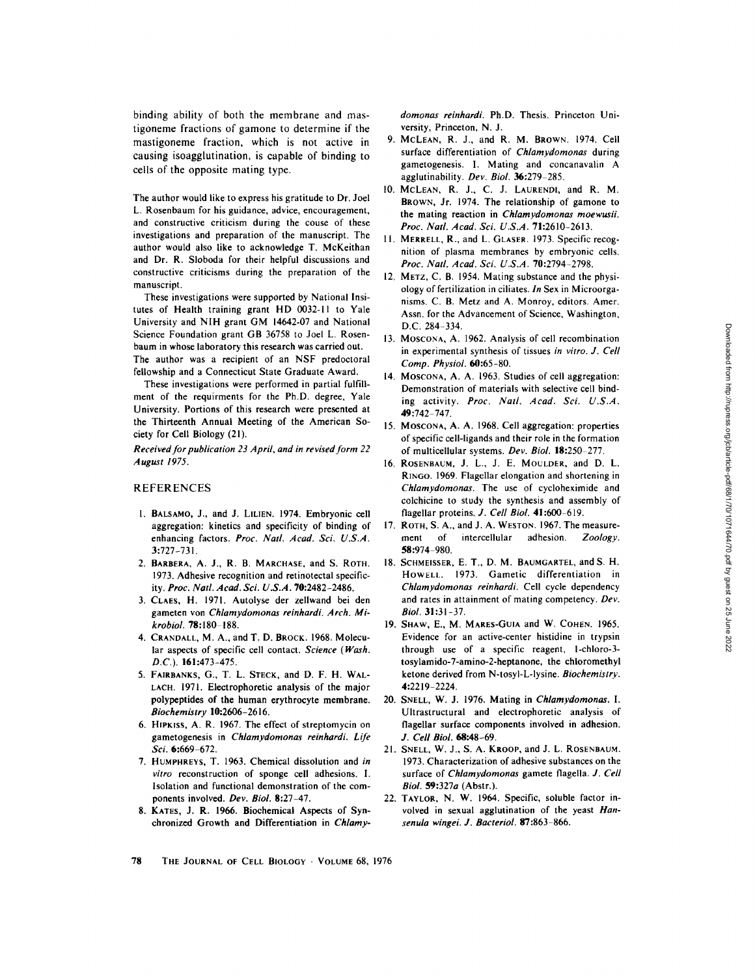binding ability of both the membrane and mastigoneme fractions of gamone to determine if the mastigoneme fraction, which is not active in causing isoagglutination, is capable of binding to cells of the opposite mating type.

The author would like to express his gratitude to Dr. Joel L. Rosenbaum for his guidance, advice, encouragement, and constructive criticism during the couse of these investigations and preparation of the manuscript. The author would also like to acknowledge T. McKeithan and Dr. R. Sloboda for their helpful discussions and constructive criticisms during the preparation of the manuscript.

These investigations were supported by National Insitutes of Health training grant HD 0032-11 to Yale University and NIH grant GM 14642-07 and National Science Foundation grant GB 36758 to Joel L. Rosenbaum in whose laboratory this research was carried out. The author was a recipient of an NSF predoctoral fellowship and a Connecticut State Graduate Award.

These investigations were performed in partial fulfillment of the requirments for the Ph.D. degree, Yale University. Portions of this research were presented at the Thirteenth Annual Meeting of the American Society for Cell Biology (21).

*Received for publication 23 April, and in revised form 22 August 1975.* 

#### REFERENCES

- 1. BALSAMO, J., and J. LILIEN. 1974. Embryonic cell aggregation: kinetics and specificity of binding of enhancing factors. *Proc. Natl. Acad. Sci. U.S.A.*  3:727-731.
- 2. BARBERA, A. J., R. B. MARCHASE, and S. ROTH. 1973. Adhesive recognition and retinotectal specificity. *Proc. Natl. Acad. Sci. U.S.A.* 70:2482-2486.
- 3. CLAES, H. 1971. Autolyse der zellwand bei den gameten yon *Chlamydomonas reinhardi. Arch. Mikrobiol.* **78:**180-188.
- 4. CRANDALL, M. A., and T. D. BROCK. 1968. Molecular aspects of specific cell contact. *Science (Wash. D.C.).* 161:473-475.
- 5. FAIRBANKS, G., T. L. STECK, and D. F. H. WAL-LACH. 1971. Electrophoretic analysis of the major polypeptides of the human erythrocyte membrane. *Biochemistry* 10:2606-2616.
- 6. HIpKISS, A. R. 1967. The effect of streptomycin on gametogenesis in *Chlamydomonas reinhardi. Life Sci.* 6:669-672.
- 7. HUMPHREYS, T. 1963. Chemical dissolution and *in vitro* reconstruction of sponge cell adhesions. I. Isolation and functional demonstration of the components involved. *Dev. Biol.* 8:27-47.
- 8. KATES, J. R. 1966. Biochemical Aspects of Synchronized Growth and Differentiation in *Chlamy-*

*domonas reinhardi.* Ph.D. Thesis. Princeton University, Princeton, N. J.

- 9. McLEAN, R. J., and R. M. BROWN. 1974. Cell surface differentiation of *Chlamydomonas* during gametogenesis. I. Mating and concanavalin A agglutinability. *Dev. Biol.* 36:279-285.
- 10. MCLEAN, R. J., C. J. LAURENDI, and R. M. BROWN, Jr. 1974. The relationship of gamone to the mating reaction in *Chlamydomonas moewusii. Proc. Natl. Acad. Sci. U.S.A.* 71:2610-2613.
- 11. MERRELL, R., and L. GLASER. 1973. Specific recognition of plasma membranes by embryonic cells. *Proc. Natl. Acad. Sci. U.S.A.* 70:2794-2798.
- 12. METZ, C. B. 1954. Mating substance and the physiology of fertilization in ciliates. *In* Sex in Microorganisms. C. B. Metz and A. Monroy, editors. Amer. Assn. for the Advancement of Science, Washington, D.C. 284-334.
- 13. MOSCONA, A. 1962. Analysis of cell recombination in experimental synthesis of tissues *in vitro. J. Cell Comp. Physiol.* 60:65-80.
- 14. MOSCONA, A. A. 1963. Studies of cell aggregation: Demonstration of materials with selective cell binding activity. *Proc. Natl. Acad. Sci. U.S.A.*  49:742 747.
- 15. MOSCONA, A. A. 1968. Cell aggregation: properties of specific cell-ligands and their role in the formation of multicellular systems. *Dev. Biol.* 18:250-277.
- 16. ROSENBAUM, J. L., J. E. MOULDER, and D. L. RINGO. 1969. Flagellar elongation and shortening in *Chlamydomonas.* The use of cycloheximide and colchicine to study the synthesis and assembly of flagellar proteins. *J. Cell Biol.* 41:600-619.
- 17. ROTH, S. A., and J. A. WESTON. 1967. The measure-<br>ment of intercellular adhesion. Zoology. ment of intercellular adhesion. 58:974 980.
- 18. SCHMEISSER, E. T., D. M. BAUMGARTEL, and S. H. HOWELL. 1973. Gametic differentiation in *Chlamydomonus reinhardi.* Cell cycle dependency and rates in attainment of mating competency. *Dev. Biol.* 31:31-37.
- 19. SHAW, E., M. MAREs-GuIA and W. COHEN. 1965. Evidence for an active-center histidine in trypsin through use of a specific reagent, l-chloro-3 tosylamido-7-amino-2-heptanone, the chloromethyl ketone derived from N-tosyI-L-lysine. *Biochemistry.*  4:2219-2224,
- 20. SNELL, W. J. 1976. Mating in *Chlamydomonas. I.*  UItrastructural and electrophoretic analysis of flagellar surface components involved in adhesion. *J. Cell Biol.* 68.'48-69.
- 21. SNELL, W. J., S. A. KROOP, and J. L. ROSENBAUM. 1973. Characterization of adhesive substances on the surface of *Chlamydomonas* gamete flagella. *J. Cell Biol.* 59:327a (Abstr.).
- 22. TAYLOR, N. W. 1964. Specific, soluble factor involved in sexual agglutination of the yeast *Hansenula wingei. J. Bacteriol.* 87:863-866.